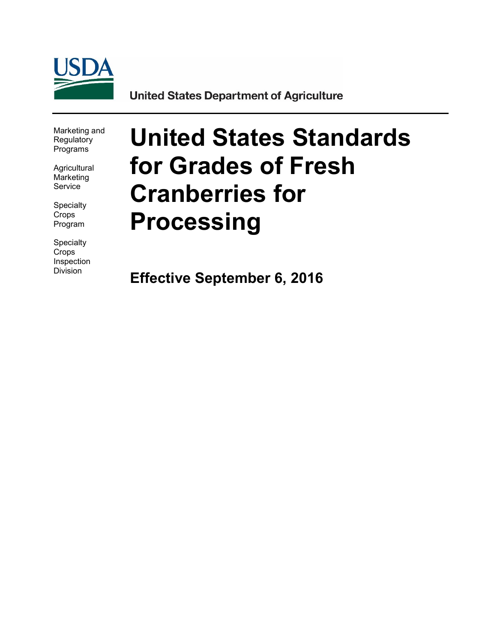

**United States Department of Agriculture** 

Marketing and **Regulatory** Programs

**Agricultural** Marketing Service

**Specialty** Crops Program

**Specialty Crops** Inspection Division

# **United States Standards for Grades of Fresh Cranberries for Processing**

**Effective September 6, 2016**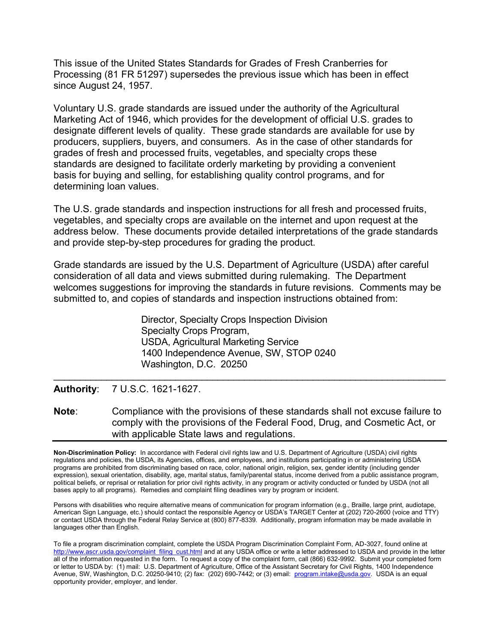This issue of the United States Standards for Grades of Fresh Cranberries for Processing (81 FR 51297) supersedes the previous issue which has been in effect since August 24, 1957.

Voluntary U.S. grade standards are issued under the authority of the Agricultural Marketing Act of 1946, which provides for the development of official U.S. grades to designate different levels of quality. These grade standards are available for use by producers, suppliers, buyers, and consumers. As in the case of other standards for grades of fresh and processed fruits, vegetables, and specialty crops these standards are designed to facilitate orderly marketing by providing a convenient basis for buying and selling, for establishing quality control programs, and for determining loan values.

The U.S. grade standards and inspection instructions for all fresh and processed fruits, vegetables, and specialty crops are available on the internet and upon request at the address below. These documents provide detailed interpretations of the grade standards and provide step-by-step procedures for grading the product.

Grade standards are issued by the U.S. Department of Agriculture (USDA) after careful consideration of all data and views submitted during rulemaking. The Department welcomes suggestions for improving the standards in future revisions. Comments may be submitted to, and copies of standards and inspection instructions obtained from:

> Director, Specialty Crops Inspection Division Specialty Crops Program, USDA, Agricultural Marketing Service 1400 Independence Avenue, SW, STOP 0240 Washington, D.C. 20250

**Authority**: 7 U.S.C. 1621-1627.

**Note**: Compliance with the provisions of these standards shall not excuse failure to comply with the provisions of the Federal Food, Drug, and Cosmetic Act, or with applicable State laws and regulations.

 $\mathcal{L}_\text{max}$  and  $\mathcal{L}_\text{max}$  and  $\mathcal{L}_\text{max}$  and  $\mathcal{L}_\text{max}$  and  $\mathcal{L}_\text{max}$  and  $\mathcal{L}_\text{max}$ 

**Non-Discrimination Policy:** In accordance with Federal civil rights law and U.S. Department of Agriculture (USDA) civil rights regulations and policies, the USDA, its Agencies, offices, and employees, and institutions participating in or administering USDA programs are prohibited from discriminating based on race, color, national origin, religion, sex, gender identity (including gender expression), sexual orientation, disability, age, marital status, family/parental status, income derived from a public assistance program, political beliefs, or reprisal or retaliation for prior civil rights activity, in any program or activity conducted or funded by USDA (not all bases apply to all programs). Remedies and complaint filing deadlines vary by program or incident.

Persons with disabilities who require alternative means of communication for program information (e.g., Braille, large print, audiotape, American Sign Language, etc.) should contact the responsible Agency or USDA's TARGET Center at (202) 720-2600 (voice and TTY) or contact USDA through the Federal Relay Service at (800) 877-8339. Additionally, program information may be made available in languages other than English.

To file a program discrimination complaint, complete the USDA Program Discrimination Complaint Form, AD-3027, found online at [http://www.ascr.usda.gov/complaint\\_filing\\_cust.html](http://www.ascr.usda.gov/complaint_filing_cust.html) and at any USDA office or write a letter addressed to USDA and provide in the letter all of the information requested in the form. To request a copy of the complaint form, call (866) 632-9992. Submit your completed form or letter to USDA by: (1) mail: U.S. Department of Agriculture, Office of the Assistant Secretary for Civil Rights, 1400 Independence Avenue, SW, Washington, D.C. 20250-9410; (2) fax: (202) 690-7442; or (3) email: [program.intake@usda.gov.](mailto:program.intake@usda.gov) USDA is an equal opportunity provider, employer, and lender.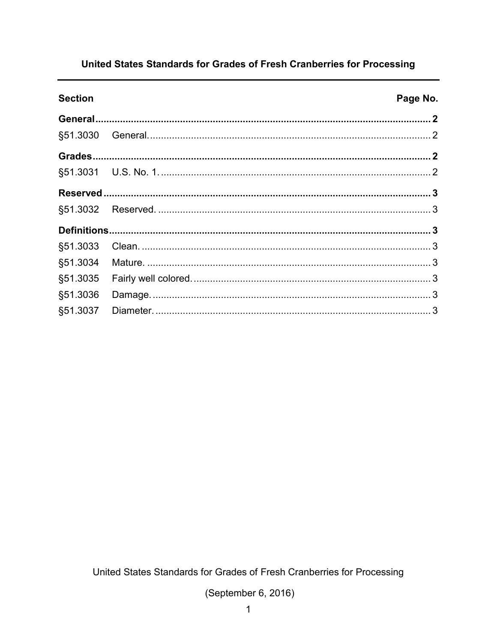# United States Standards for Grades of Fresh Cranberries for Processing

**Section** 

#### Page No.

| §51.3030 |
|----------|
|          |
|          |
|          |
|          |
|          |
|          |
| §51.3033 |
| §51.3034 |
|          |
| §51.3036 |
|          |

United States Standards for Grades of Fresh Cranberries for Processing

(September 6, 2016)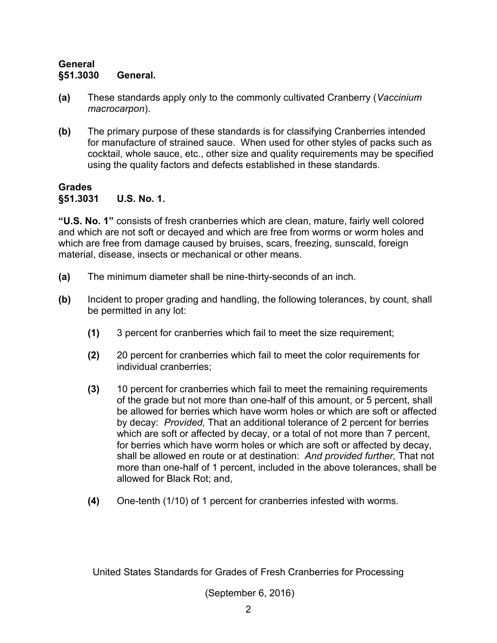#### <span id="page-3-1"></span><span id="page-3-0"></span>**General §51.3030 General.**

- **(a)** These standards apply only to the commonly cultivated Cranberry (*Vaccinium macrocarpon*).
- **(b)** The primary purpose of these standards is for classifying Cranberries intended for manufacture of strained sauce. When used for other styles of packs such as cocktail, whole sauce, etc., other size and quality requirements may be specified using the quality factors and defects established in these standards.

### <span id="page-3-3"></span><span id="page-3-2"></span>**Grades §51.3031 U.S. No. 1.**

**"U.S. No. 1"** consists of fresh cranberries which are clean, mature, fairly well colored and which are not soft or decayed and which are free from worms or worm holes and which are free from damage caused by bruises, scars, freezing, sunscald, foreign material, disease, insects or mechanical or other means.

- **(a)** The minimum diameter shall be nine-thirty-seconds of an inch.
- **(b)** Incident to proper grading and handling, the following tolerances, by count, shall be permitted in any lot:
	- **(1)** 3 percent for cranberries which fail to meet the size requirement;
	- **(2)** 20 percent for cranberries which fail to meet the color requirements for individual cranberries;
	- **(3)** 10 percent for cranberries which fail to meet the remaining requirements of the grade but not more than one-half of this amount, or 5 percent, shall be allowed for berries which have worm holes or which are soft or affected by decay: *Provided,* That an additional tolerance of 2 percent for berries which are soft or affected by decay, or a total of not more than 7 percent, for berries which have worm holes or which are soft or affected by decay, shall be allowed en route or at destination: *And provided further,* That not more than one-half of 1 percent, included in the above tolerances, shall be allowed for Black Rot; and,
	- **(4)** One-tenth (1/10) of 1 percent for cranberries infested with worms.

United States Standards for Grades of Fresh Cranberries for Processing

(September 6, 2016)